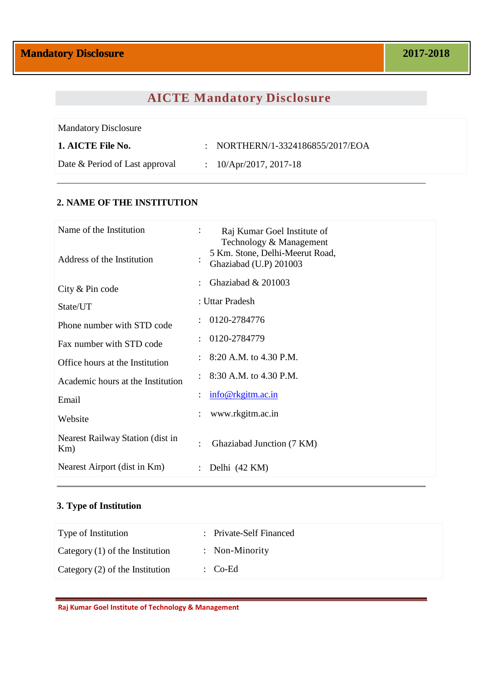# **AICTE Mandatory Disclosure**

Mandatory Disclosure

**1. AICTE File No.**

: NORTHERN/1-3324186855/2017/EOA

Date & Period of Last approval

: 10/Apr/2017, 2017-18

## **2. NAME OF THE INSTITUTION**

| Name of the Institution<br>Address of the Institution |                | Raj Kumar Goel Institute of<br>Technology & Management<br>5 Km. Stone, Delhi-Meerut Road,<br>Ghaziabad (U.P) 201003 |
|-------------------------------------------------------|----------------|---------------------------------------------------------------------------------------------------------------------|
| City $&$ Pin code                                     |                | Ghaziabad & 201003                                                                                                  |
| State/UT                                              |                | : Uttar Pradesh                                                                                                     |
| Phone number with STD code                            |                | 0120-2784776                                                                                                        |
| Fax number with STD code                              |                | 0120-2784779                                                                                                        |
| Office hours at the Institution                       |                | 8:20 A.M. to 4.30 P.M.                                                                                              |
| Academic hours at the Institution                     |                | 8:30 A.M. to 4.30 P.M.                                                                                              |
| Email                                                 | $\ddot{\cdot}$ | info@rkgitm.ac.in                                                                                                   |
| Website                                               |                | www.rkgitm.ac.in                                                                                                    |
| Nearest Railway Station (dist in<br>Km)               | $\bullet$      | Ghaziabad Junction (7 KM)                                                                                           |
| Nearest Airport (dist in Km)                          |                | Delhi (42 KM)                                                                                                       |

# **3. Type of Institution**

| Type of Institution               | : Private-Self Financed |
|-----------------------------------|-------------------------|
| Category $(1)$ of the Institution | $:$ Non-Minority        |
| Category $(2)$ of the Institution | $\therefore$ Co-Ed      |

**Raj Kumar Goel Institute of Technology & Management**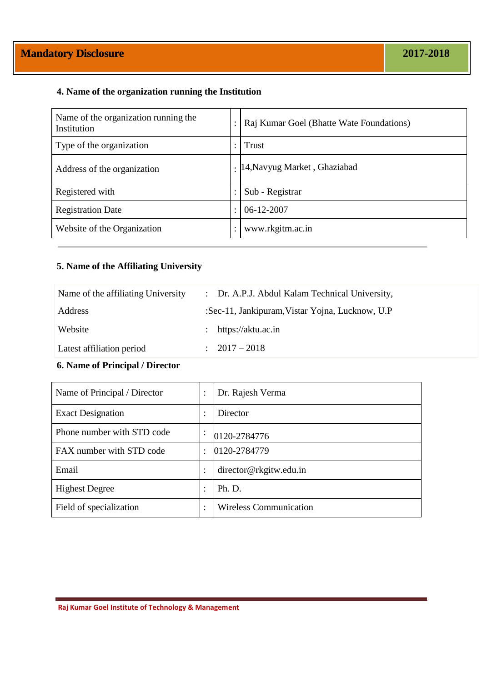# **4. Name of the organization running the Institution**

| Name of the organization running the<br>Institution | Raj Kumar Goel (Bhatte Wate Foundations) |
|-----------------------------------------------------|------------------------------------------|
| Type of the organization                            | Trust                                    |
| Address of the organization                         | : 14, Navyug Market, Ghaziabad           |
| Registered with                                     | Sub - Registrar                          |
| <b>Registration Date</b>                            | 06-12-2007                               |
| Website of the Organization                         | www.rkgitm.ac.in                         |

# **5. Name of the Affiliating University**

| Name of the affiliating University | : Dr. A.P.J. Abdul Kalam Technical University,  |
|------------------------------------|-------------------------------------------------|
| Address                            | :Sec-11, Jankipuram, Vistar Yojna, Lucknow, U.P |
| Website                            | : https://aktu.ac.in                            |
| Latest affiliation period          | $\therefore$ 2017 – 2018                        |

# **6. Name of Principal / Director**

| Name of Principal / Director | $\cdot$              | Dr. Rajesh Verma              |
|------------------------------|----------------------|-------------------------------|
| <b>Exact Designation</b>     | ٠                    | Director                      |
| Phone number with STD code   | ٠<br>$\bullet$       | 0120-2784776                  |
| FAX number with STD code     | $\ddot{\phantom{a}}$ | 0120-2784779                  |
| Email                        | ٠                    | director@rkgitw.edu.in        |
| <b>Highest Degree</b>        | ٠                    | Ph. D.                        |
| Field of specialization      | ٠                    | <b>Wireless Communication</b> |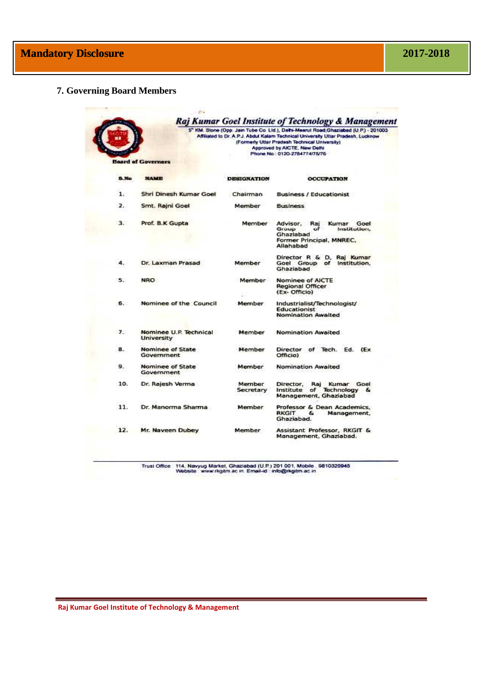|      |                                       |                     | 5" KM Stone (Opp. Jain Tube Co. Ltd.), Delhi-Meerut Road Ghaziabad (U.P.) - 201003<br>Affliated to Dr. A.P.J. Abdul Kalam Technical University Uttar Pradesh, Lucknow<br>(Formerly Utter Pradesh Technical University)<br>Approved by AICTE. New Delhi<br>Phone No.: 0120-2784774/75/76 |
|------|---------------------------------------|---------------------|-----------------------------------------------------------------------------------------------------------------------------------------------------------------------------------------------------------------------------------------------------------------------------------------|
|      | <b>Board of Governors</b>             |                     |                                                                                                                                                                                                                                                                                         |
| S.No | <b>NAME</b>                           | <b>DESIGNATION</b>  | <b>OCCUPATION</b>                                                                                                                                                                                                                                                                       |
| 1.   | Shri Dinesh Kumar Goel                | Chairman            | <b>Business / Educationist</b>                                                                                                                                                                                                                                                          |
| 2.   | Smt. Rajni Goel                       | Member              | <b>Business</b>                                                                                                                                                                                                                                                                         |
| 3.   | Prof. B.K Gupta                       | Member              | Advisor, Raj<br>Kumar Goel<br>Group<br>Institution,<br>of.<br>Ghaziabad<br>Former Principal, MNREC,<br>Allahabad                                                                                                                                                                        |
| 4.   | Dr. Laxman Prasad                     | Member              | Director R & D, Raj Kumar<br>Goel Group of Institution,<br>Ghaziabad                                                                                                                                                                                                                    |
| 5.   | <b>NRO</b>                            | Member              | Nominee of AICTE<br>Regional Officer<br>(Ex-Officio)                                                                                                                                                                                                                                    |
| б.   | Nominee of the Council                | Member              | Industrialist/Technologist/<br><b>Educationist</b><br><b>Nomination Awaited</b>                                                                                                                                                                                                         |
| 7.   | Nominee U.P. Technical<br>University  | Member              | Nomination Awaited                                                                                                                                                                                                                                                                      |
| 8.   | Nominee of State<br>Government        | Member              | Director of Tech. Ed.<br>(Ex<br>Officio)                                                                                                                                                                                                                                                |
| 9.   | <b>Nominee of State</b><br>Government | Member              | <b>Nomination Awaited</b>                                                                                                                                                                                                                                                               |
| 10.  | Dr. Rajesh Verma                      | Member<br>Secretary | Director.<br>Raj<br>Kumar Goel<br>of Technology &<br>Institute<br>Management, Ghaziabad                                                                                                                                                                                                 |
| 11.  | Dr. Manorma Sharma                    | Member              | Professor & Dean Academics,<br><b>RKGIT</b><br>Management.<br>s.<br>Ghaziabad,                                                                                                                                                                                                          |
| 12.  | Mr. Naveen Dubey                      | <b>Member</b>       | Assistant Professor, RKGIT &<br>Management, Ghaziabad.                                                                                                                                                                                                                                  |

Trust Office 114, Navyug Market, Ghaziabad (U.P.) 201 001, Mobile 9810320945<br>Website www.rkgitm.ac.in. Email-id: info@rkgitm.ac.in

**Raj Kumar Goel Institute of Technology & Management**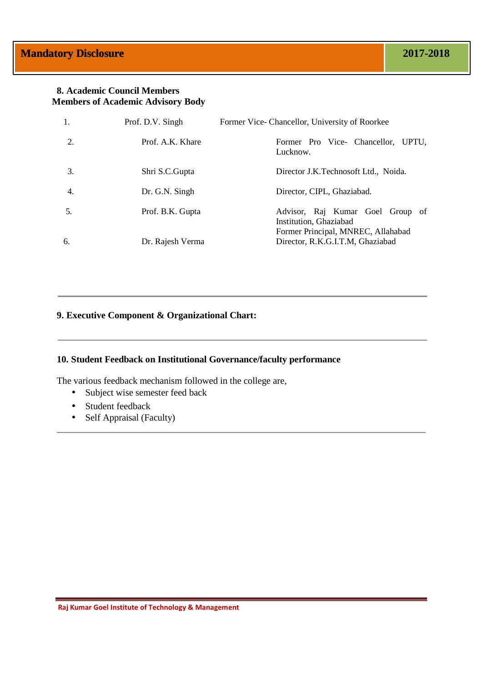### **8. Academic Council Members Members of Academic Advisory Body**

|    | Prof. D.V. Singh | Former Vice-Chancellor, University of Roorkee                                                    |  |  |
|----|------------------|--------------------------------------------------------------------------------------------------|--|--|
| 2. | Prof. A.K. Khare | Former Pro Vice- Chancellor, UPTU,<br>Lucknow.                                                   |  |  |
| 3. | Shri S.C.Gupta   | Director J.K.Technosoft Ltd., Noida.                                                             |  |  |
| 4. | Dr. G.N. Singh   | Director, CIPL, Ghaziabad.                                                                       |  |  |
| 5. | Prof. B.K. Gupta | Advisor, Raj Kumar Goel Group of<br>Institution, Ghaziabad<br>Former Principal, MNREC, Allahabad |  |  |
| 6. | Dr. Rajesh Verma | Director, R.K.G.I.T.M, Ghaziabad                                                                 |  |  |

# **9. Executive Component & Organizational Chart:**

### **10. Student Feedback on Institutional Governance/faculty performance**

The various feedback mechanism followed in the college are,

- Subject wise semester feed back
- Student feedback
- Self Appraisal (Faculty)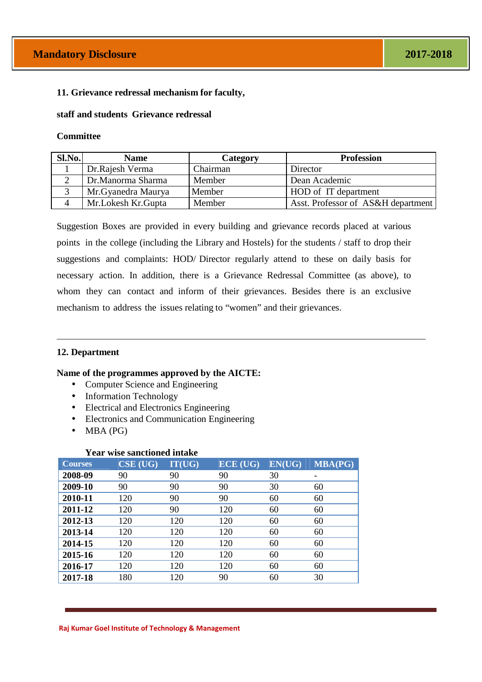#### **11. Grievance redressal mechanism for faculty,**

#### **staff and students Grievance redressal**

#### **Committee**

| Sl.No. | <b>Name</b>         | Category | <b>Profession</b>                  |
|--------|---------------------|----------|------------------------------------|
|        | Dr. Rajesh Verma    | Chairman | Director                           |
|        | Dr.Manorma Sharma   | Member   | Dean Academic                      |
|        | Mr. Gyanedra Maurya | Member   | HOD of IT department               |
|        | Mr.Lokesh Kr.Gupta  | Member   | Asst. Professor of AS&H department |

Suggestion Boxes are provided in every building and grievance records placed at various points in the college (including the Library and Hostels) for the students / staff to drop their suggestions and complaints: HOD/ Director regularly attend to these on daily basis for necessary action. In addition, there is a Grievance Redressal Committee (as above), to whom they can contact and inform of their grievances. Besides there is an exclusive mechanism to address the issues relating to "women" and their grievances.

#### **12. Department**

#### **Name of the programmes approved by the AICTE:**

- Computer Science and Engineering
- Information Technology
- Electrical and Electronics Engineering
- Electronics and Communication Engineering
- MBA (PG)

| 'n ear wise sanctioned intake |                              |        |                 |        |                |
|-------------------------------|------------------------------|--------|-----------------|--------|----------------|
| <b>Courses</b>                | $\overline{\text{CSE}}$ (UG) | IT(UG) | <b>ECE (UG)</b> | EN(UG) | <b>MBA(PG)</b> |
| 2008-09                       | 90                           | 90     | 90              | 30     |                |
| 2009-10                       | 90                           | 90     | 90              | 30     | 60             |
| 2010-11                       | 120                          | 90     | 90              | 60     | 60             |
| 2011-12                       | 120                          | 90     | 120             | 60     | 60             |
| 2012-13                       | 120                          | 120    | 120             | 60     | 60             |
| 2013-14                       | 120                          | 120    | 120             | 60     | 60             |
| 2014-15                       | 120                          | 120    | 120             | 60     | 60             |
| 2015-16                       | 120                          | 120    | 120             | 60     | 60             |
| 2016-17                       | 120                          | 120    | 120             | 60     | 60             |
| 2017-18                       | 180                          | 120    | 90              | 60     | 30             |

# **Year wise sanctioned intake**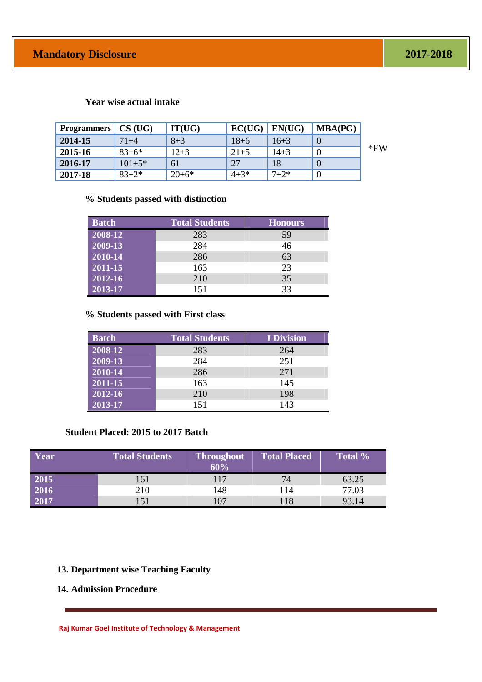### **Year wise actual intake**

| Programmers   CS (UG) |            | IT(UG)   | EC(UG)   | EN(UG)   | MBA(PG) |       |
|-----------------------|------------|----------|----------|----------|---------|-------|
| 2014-15               | $71 + 4$   | $8 + 3$  | $18 + 6$ | $16 + 3$ |         |       |
| 2015-16               | $83 + 6*$  | $12 + 3$ | $21 + 5$ | $14 + 3$ |         | $*FW$ |
| 2016-17               | $101 + 5*$ | 61       | 27       | 18       |         |       |
| 2017-18               | $83+2*$    | $20+6*$  | $4 + 3*$ | $7+2*$   |         |       |

## **% Students passed with distinction**

| <b>Batch</b>  | <b>Total Students</b> | <b>Honours</b> |
|---------------|-----------------------|----------------|
| 2008-12       | 283                   | 59             |
| 2009-13       | 284                   | 46             |
| 2010-14       | 286                   | 63             |
| 2011-15       | 163                   | 23             |
| $2012 - 16$   | 210                   | 35             |
| $ 2013 - 17 $ | 151                   | 33             |

# **% Students passed with First class**

| <b>Batch</b> | <b>Total Students</b> | <b>I</b> Division |
|--------------|-----------------------|-------------------|
| $ 2008-12 $  | 283                   | 264               |
| 2009-13      | 284                   | 251               |
| $2010 - 14$  | 286                   | 271               |
| 2011-15      | 163                   | 145               |
| $2012 - 16$  | 210                   | 198               |
| $2013 - 17$  | 151                   | 143               |

# **Student Placed: 2015 to 2017 Batch**

| Year | <b>Total Students</b> | <b>Throughout</b><br>60% | <b>Total Placed</b> | Total % |
|------|-----------------------|--------------------------|---------------------|---------|
| 2015 | 161                   | 117                      | 74                  | 63.25   |
| 2016 | 210                   | 148                      | 114                 | 77.03   |
| 2017 | 151                   | $\overline{07}$          | .18                 | 93.14   |

# **13. Department wise Teaching Faculty**

**14. Admission Procedure**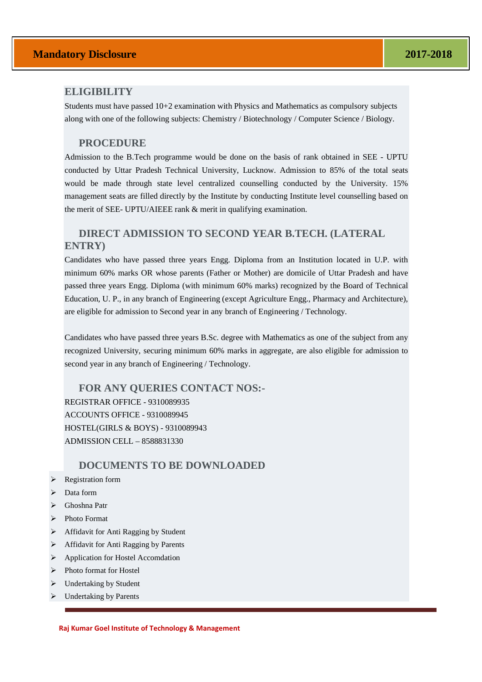#### **ELIGIBILITY**

Students must have passed 10+2 examination with Physics and Mathematics as compulsory subjects along with one of the following subjects: Chemistry / Biotechnology / Computer Science / Biology.

#### **PROCEDURE**

Admission to the B.Tech programme would be done on the basis of rank obtained in SEE - UPTU conducted by Uttar Pradesh Technical University, Lucknow. Admission to 85% of the total seats would be made through state level centralized counselling conducted by the University. 15% management seats are filled directly by the Institute by conducting Institute level counselling based on the merit of SEE- UPTU/AIEEE rank & merit in qualifying examination.

# **DIRECT ADMISSION TO SECOND YEAR B.TECH. (LATERAL ENTRY)**

Candidates who have passed three years Engg. Diploma from an Institution located in U.P. with minimum 60% marks OR whose parents (Father or Mother) are domicile of Uttar Pradesh and have passed three years Engg. Diploma (with minimum 60% marks) recognized by the Board of Technical Education, U. P., in any branch of Engineering (except Agriculture Engg., Pharmacy and Architecture), are eligible for admission to Second year in any branch of Engineering / Technology.

Candidates who have passed three years B.Sc. degree with Mathematics as one of the subject from any recognized University, securing minimum 60% marks in aggregate, are also eligible for admission to second year in any branch of Engineering / Technology.

**FOR ANY QUERIES CONTACT NOS:-**  REGISTRAR OFFICE - 9310089935 ACCOUNTS OFFICE - 9310089945 HOSTEL(GIRLS & BOYS) - 9310089943 ADMISSION CELL – 8588831330

# **DOCUMENTS TO BE DOWNLOADED**

- Registration form
- $\triangleright$  Data form
- $\triangleright$  Ghoshna Patr
- > Photo Format
- > Affidavit for Anti Ragging by Student
- > Affidavit for Anti Ragging by Parents
- $\triangleright$  Application for Hostel Accomdation
- $\triangleright$  Photo format for Hostel
- $\triangleright$  Undertaking by Student
- $\triangleright$  Undertaking by Parents

**Raj Kumar Goel Institute of Technology & Management**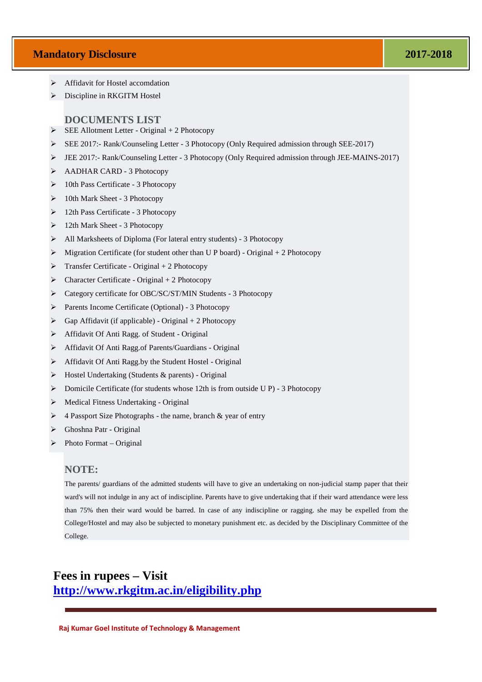- Affidavit for Hostel accomdation
- Discipline in RKGITM Hostel

#### **DOCUMENTS LIST**

- $\triangleright$  SEE Allotment Letter Original + 2 Photocopy
- SEE 2017:- Rank/Counseling Letter 3 Photocopy (Only Required admission through SEE-2017)
- JEE 2017:- Rank/Counseling Letter 3 Photocopy (Only Required admission through JEE-MAINS-2017)
- > AADHAR CARD 3 Photocopy
- $\geq 10$ th Pass Certificate 3 Photocopy
- $\geq 10$ th Mark Sheet 3 Photocopy
- $\geq 12$ th Pass Certificate 3 Photocopy
- > 12th Mark Sheet 3 Photocopy
- All Marksheets of Diploma (For lateral entry students) 3 Photocopy
- $\triangleright$  Migration Certificate (for student other than U P board) Original + 2 Photocopy
- $\triangleright$  Transfer Certificate Original + 2 Photocopy
- $\triangleright$  Character Certificate Original + 2 Photocopy
- Category certificate for OBC/SC/ST/MIN Students 3 Photocopy
- Parents Income Certificate (Optional) 3 Photocopy
- $\triangleright$  Gap Affidavit (if applicable) Original + 2 Photocopy
- > Affidavit Of Anti Ragg. of Student Original
- Affidavit Of Anti Ragg.of Parents/Guardians Original
- > Affidavit Of Anti Ragg.by the Student Hostel Original
- $\triangleright$  Hostel Undertaking (Students & parents) Original
- $\triangleright$  Domicile Certificate (for students whose 12th is from outside U P) 3 Photocopy
- Medical Fitness Undertaking Original
- $\triangleright$  4 Passport Size Photographs the name, branch & year of entry
- Ghoshna Patr Original
- Photo Format Original

#### **NOTE:**

The parents/ guardians of the admitted students will have to give an undertaking on non-judicial stamp paper that their ward's will not indulge in any act of indiscipline. Parents have to give undertaking that if their ward attendance were less than 75% then their ward would be barred. In case of any indiscipline or ragging. she may be expelled from the College/Hostel and may also be subjected to monetary punishment etc. as decided by the Disciplinary Committee of the College.

# **Fees in rupees – Visit http://www.rkgitm.ac.in/eligibility.php**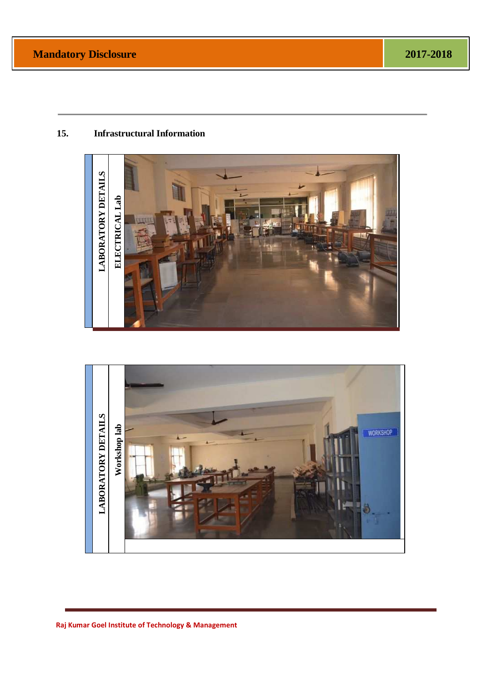# **15. Infrastructural Information**



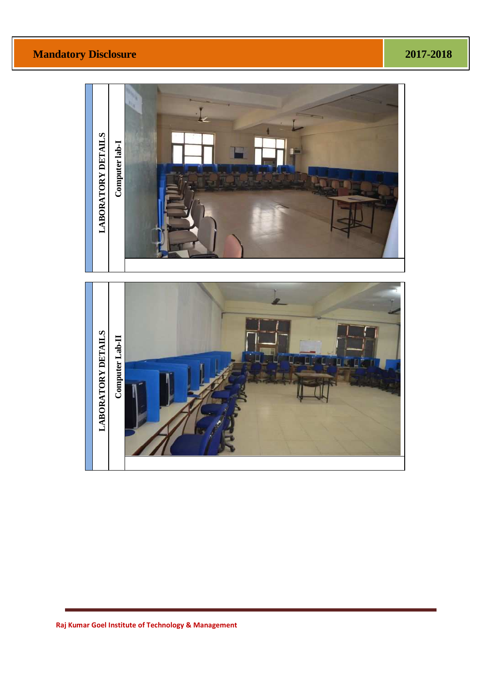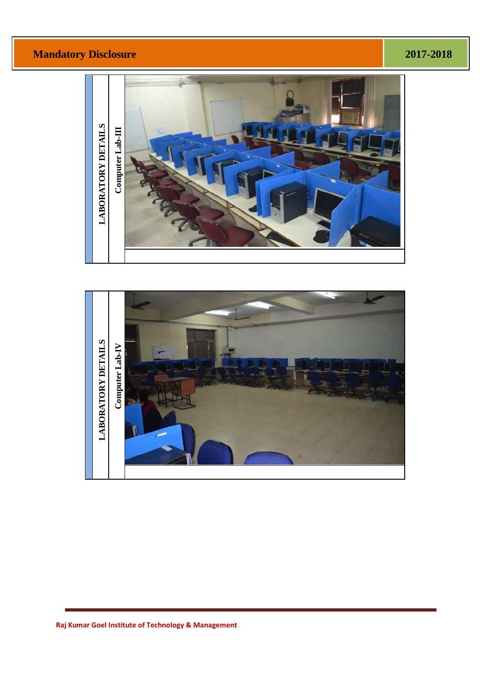

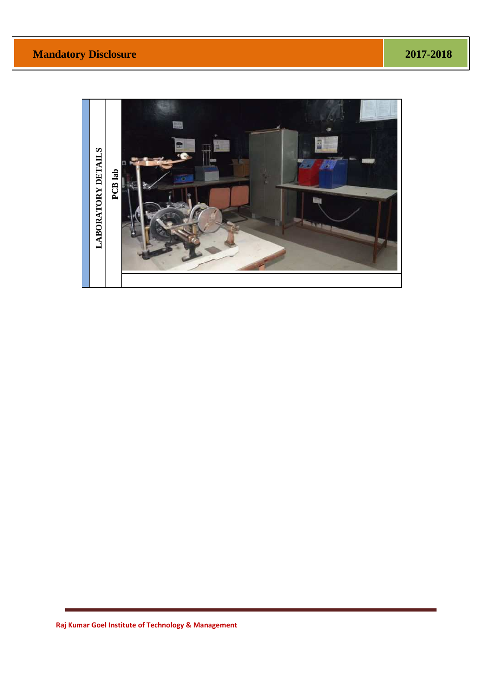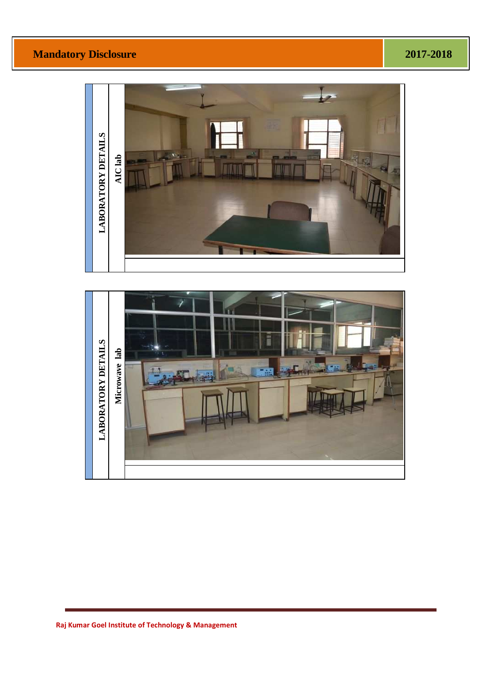

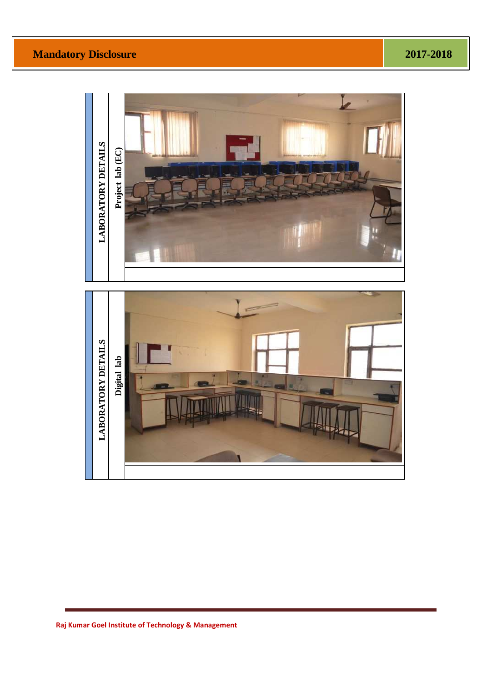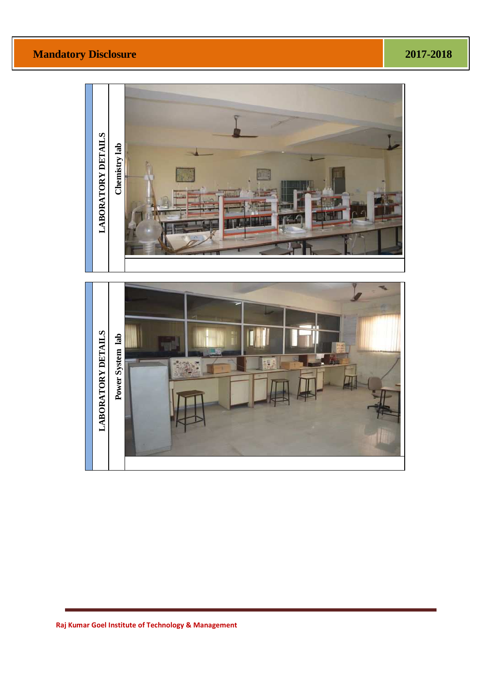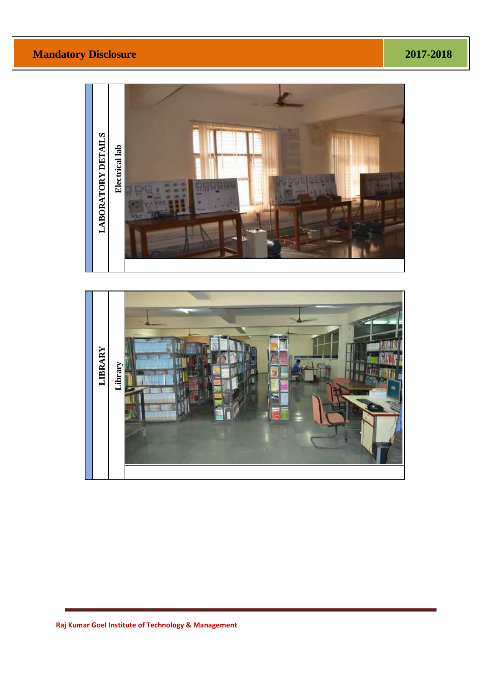

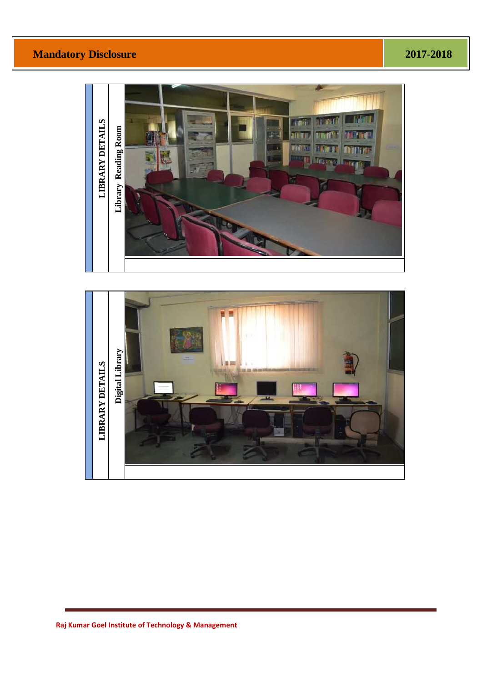

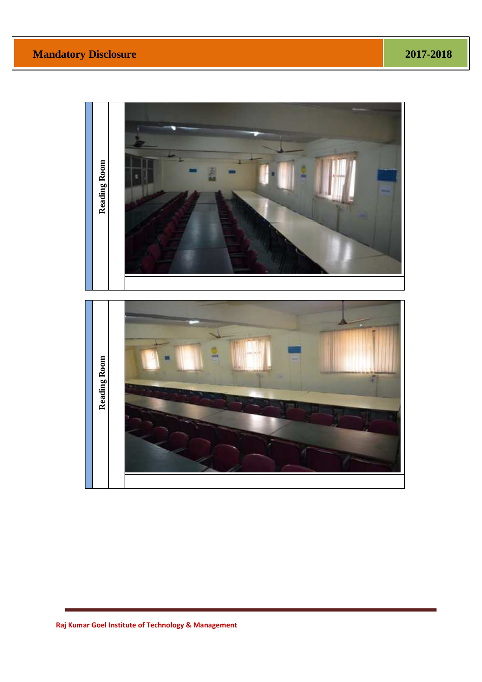

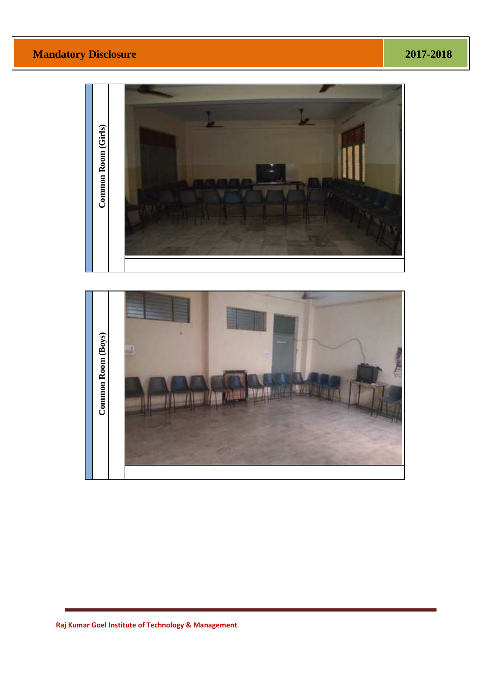

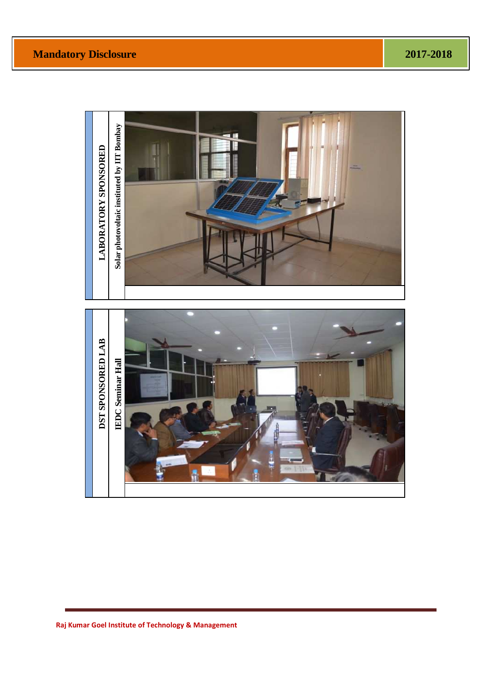

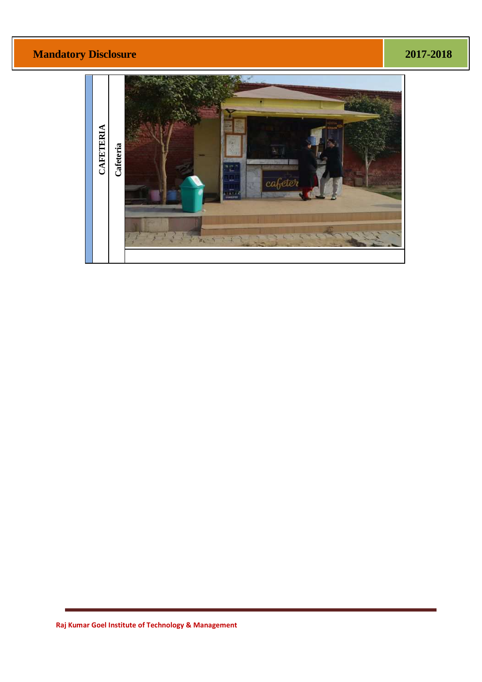# **Mandatory Disclosure 2017-2018 2017-2018**

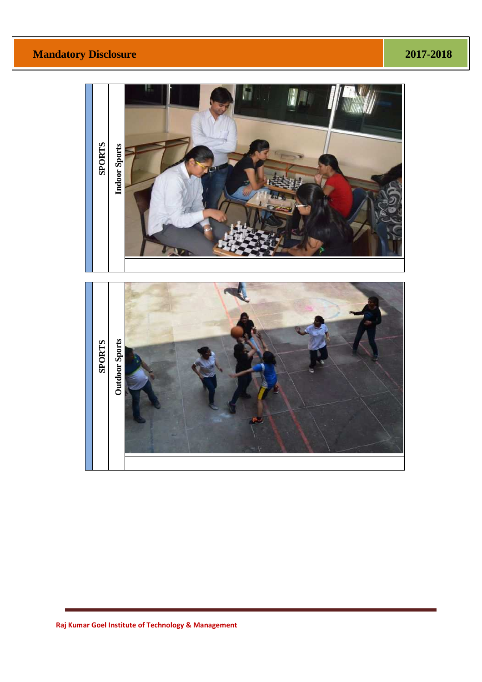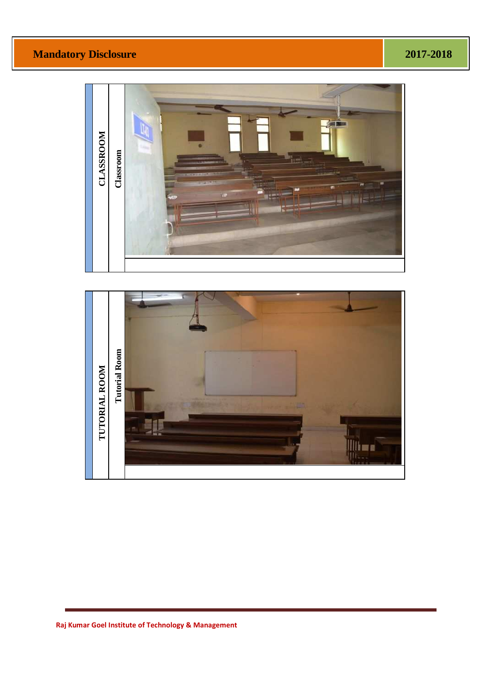

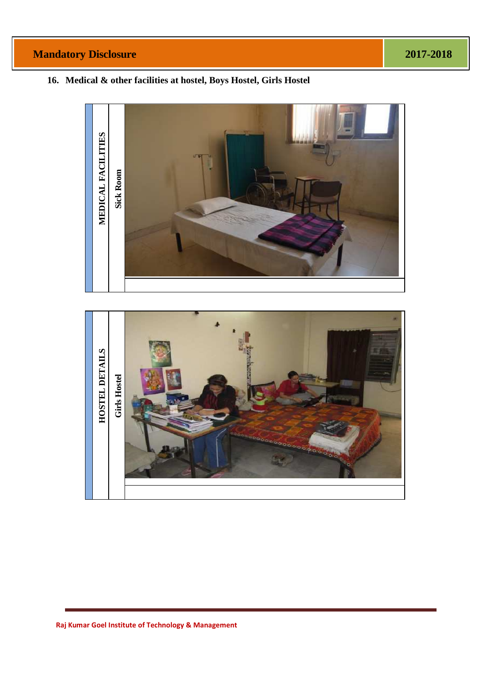# **16. Medical & other facilities at hostel, Boys Hostel, Girls Hostel**



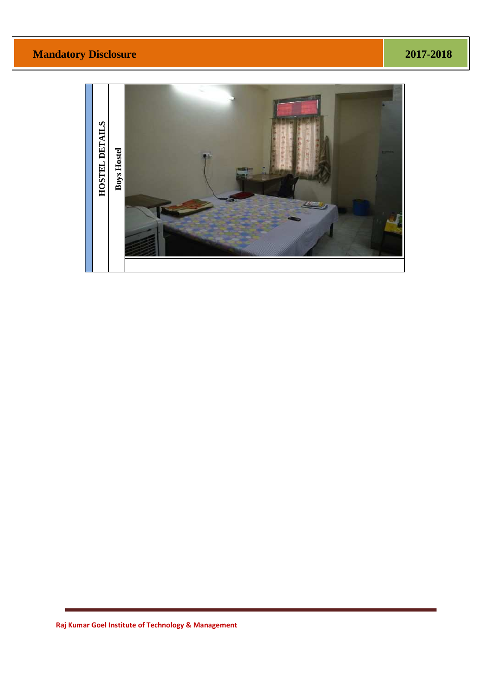![](_page_25_Picture_2.jpeg)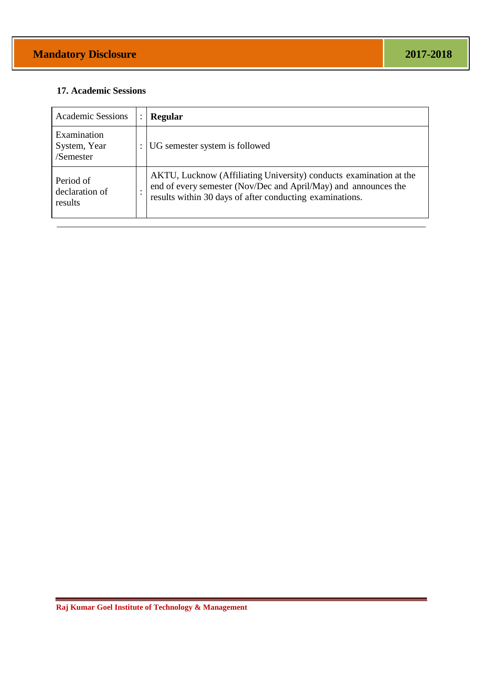# **17. Academic Sessions**

| <b>Academic Sessions</b>                 | Regular                                                                                                                                                                                        |  |
|------------------------------------------|------------------------------------------------------------------------------------------------------------------------------------------------------------------------------------------------|--|
| Examination<br>System, Year<br>/Semester | : UG semester system is followed                                                                                                                                                               |  |
| Period of<br>declaration of<br>results   | AKTU, Lucknow (Affiliating University) conducts examination at the<br>end of every semester (Nov/Dec and April/May) and announces the results within 30 days of after conducting examinations. |  |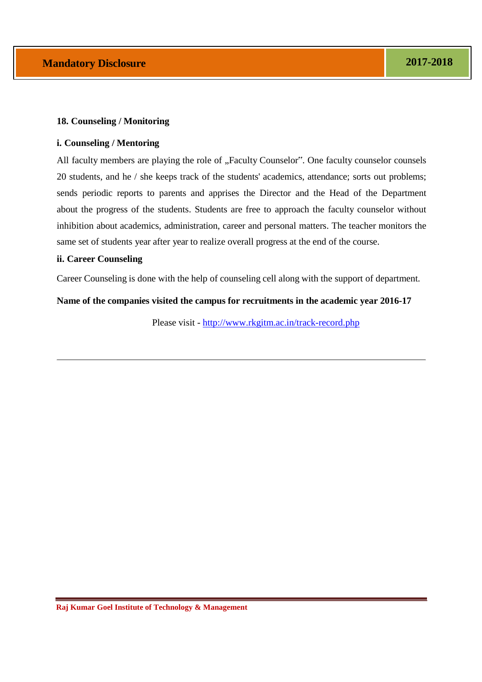#### **18. Counseling / Monitoring**

#### **i. Counseling / Mentoring**

All faculty members are playing the role of "Faculty Counselor". One faculty counselor counsels 20 students, and he / she keeps track of the students' academics, attendance; sorts out problems; sends periodic reports to parents and apprises the Director and the Head of the Department about the progress of the students. Students are free to approach the faculty counselor without inhibition about academics, administration, career and personal matters. The teacher monitors the same set of students year after year to realize overall progress at the end of the course.

#### **ii. Career Counseling**

Career Counseling is done with the help of counseling cell along with the support of department.

#### **Name of the companies visited the campus for recruitments in the academic year 2016-17**

Please visit - http://www.rkgitm.ac.in/track-record.php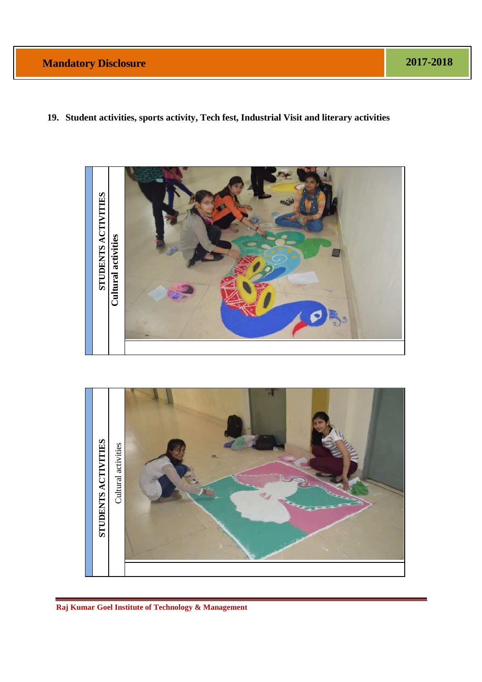**19. Student activities, sports activity, Tech fest, Industrial Visit and literary activities** 

![](_page_28_Picture_3.jpeg)

![](_page_28_Picture_4.jpeg)